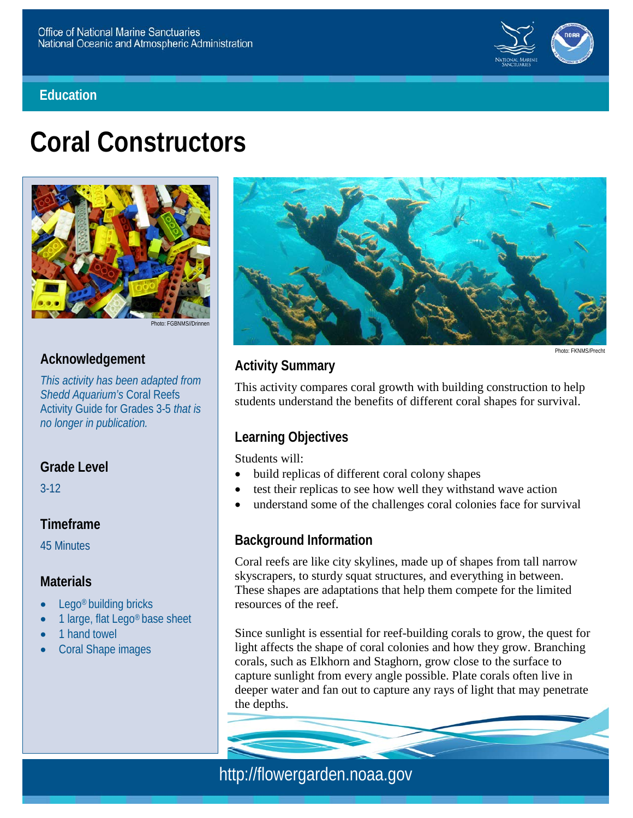



# **Coral Constructors**



Photo: EGBNMS//Drinne

# **Acknowledgement**

*This activity has been adapted from Shedd Aquarium's* Coral Reefs Activity Guide for Grades 3-5 *that is no longer in publication.*

# **Grade Level**

3-12

### **Timeframe**

45 Minutes

### **Materials**

- Lego<sup>®</sup> building bricks
- 1 large, flat Lego<sup>®</sup> base sheet
- 1 hand towel
- Coral Shape images



# **Activity Summary**

Photo: FKNMS/Precht

This activity compares coral growth with building construction to help students understand the benefits of different coral shapes for survival.

# **Learning Objectives**

Students will:

- build replicas of different coral colony shapes
- test their replicas to see how well they withstand wave action
- understand some of the challenges coral colonies face for survival

### **Background Information**

Coral reefs are like city skylines, made up of shapes from tall narrow skyscrapers, to sturdy squat structures, and everything in between. These shapes are adaptations that help them compete for the limited resources of the reef.

Since sunlight is essential for reef-building corals to grow, the quest for light affects the shape of coral colonies and how they grow. Branching corals, such as Elkhorn and Staghorn, grow close to the surface to capture sunlight from every angle possible. Plate corals often live in deeper water and fan out to capture any rays of light that may penetrate the depths.

http://flowergarden.noaa.gov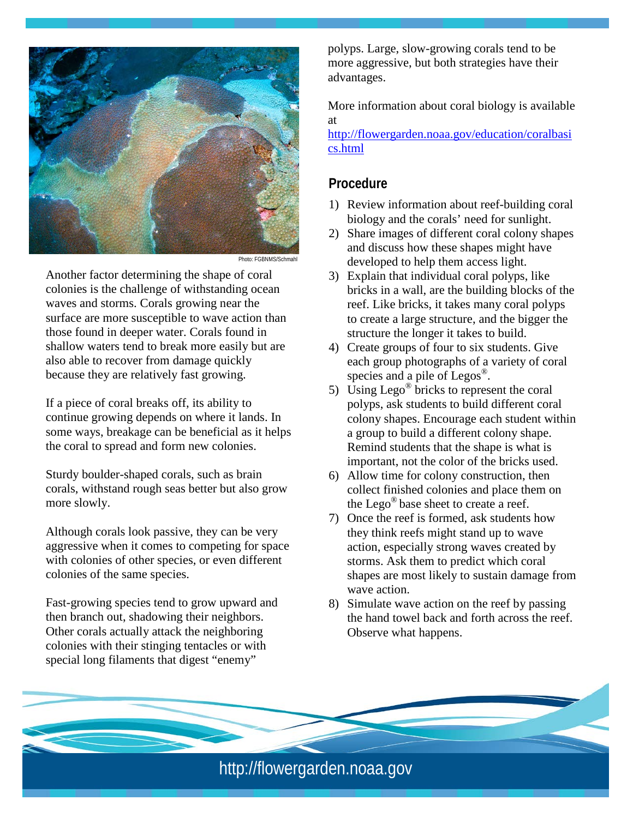

Photo: FGBNMS/Schm

Another factor determining the shape of coral colonies is the challenge of withstanding ocean waves and storms. Corals growing near the surface are more susceptible to wave action than those found in deeper water. Corals found in shallow waters tend to break more easily but are also able to recover from damage quickly because they are relatively fast growing.

If a piece of coral breaks off, its ability to continue growing depends on where it lands. In some ways, breakage can be beneficial as it helps the coral to spread and form new colonies.

Sturdy boulder-shaped corals, such as brain corals, withstand rough seas better but also grow more slowly.

Although corals look passive, they can be very aggressive when it comes to competing for space with colonies of other species, or even different colonies of the same species.

Fast-growing species tend to grow upward and then branch out, shadowing their neighbors. Other corals actually attack the neighboring colonies with their stinging tentacles or with special long filaments that digest "enemy"

polyps. Large, slow-growing corals tend to be more aggressive, but both strategies have their advantages.

More information about coral biology is available at

[http://flowergarden.noaa.gov/education/coralbasi](http://flowergarden.noaa.gov/education/coralbasics.html) [cs.html](http://flowergarden.noaa.gov/education/coralbasics.html)

### **Procedure**

- 1) Review information about reef-building coral biology and the corals' need for sunlight.
- 2) Share images of different coral colony shapes and discuss how these shapes might have developed to help them access light.
- 3) Explain that individual coral polyps, like bricks in a wall, are the building blocks of the reef. Like bricks, it takes many coral polyps to create a large structure, and the bigger the structure the longer it takes to build.
- 4) Create groups of four to six students. Give each group photographs of a variety of coral species and a pile of  $Legos^{\circledR}$ .
- 5) Using Lego<sup>®</sup> bricks to represent the coral polyps, ask students to build different coral colony shapes. Encourage each student within a group to build a different colony shape. Remind students that the shape is what is important, not the color of the bricks used.
- 6) Allow time for colony construction, then collect finished colonies and place them on the Lego<sup>®</sup> base sheet to create a reef.
- 7) Once the reef is formed, ask students how they think reefs might stand up to wave action, especially strong waves created by storms. Ask them to predict which coral shapes are most likely to sustain damage from wave action.
- 8) Simulate wave action on the reef by passing the hand towel back and forth across the reef. Observe what happens.

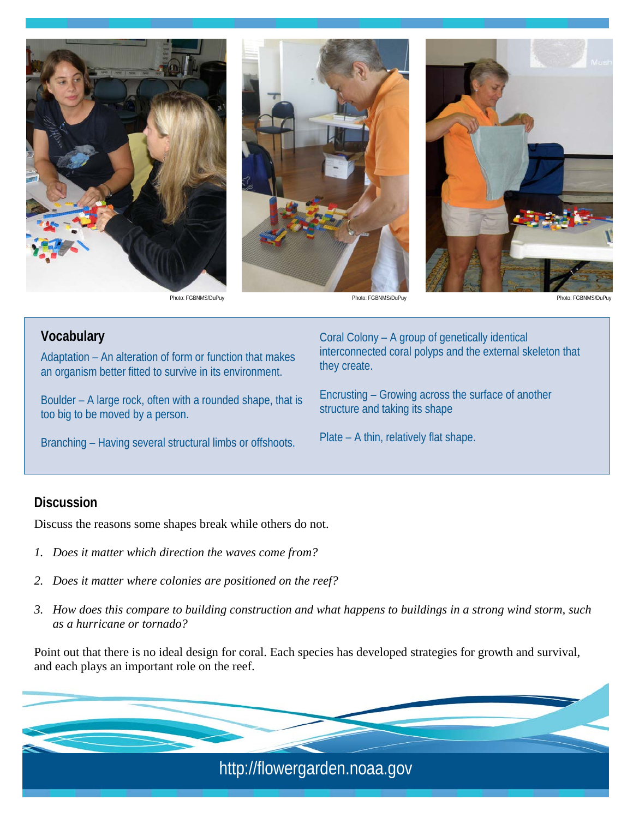





Photo: FGBNMS/DuPuy Photo: FGBNMS/DuPuy

**Vocabulary**

Adaptation – An alteration of form or function that makes an organism better fitted to survive in its environment.

Boulder – A large rock, often with a rounded shape, that is too big to be moved by a person.

Branching – Having several structural limbs or offshoots.

Coral Colony – A group of genetically identical interconnected coral polyps and the external skeleton that they create.

Encrusting – Growing across the surface of another structure and taking its shape

Plate – A thin, relatively flat shape.

#### **Discussion**

Discuss the reasons some shapes break while others do not.

- *1. Does it matter which direction the waves come from?*
- *2. Does it matter where colonies are positioned on the reef?*
- *3. How does this compare to building construction and what happens to buildings in a strong wind storm, such as a hurricane or tornado?*

Point out that there is no ideal design for coral. Each species has developed strategies for growth and survival, and each plays an important role on the reef.

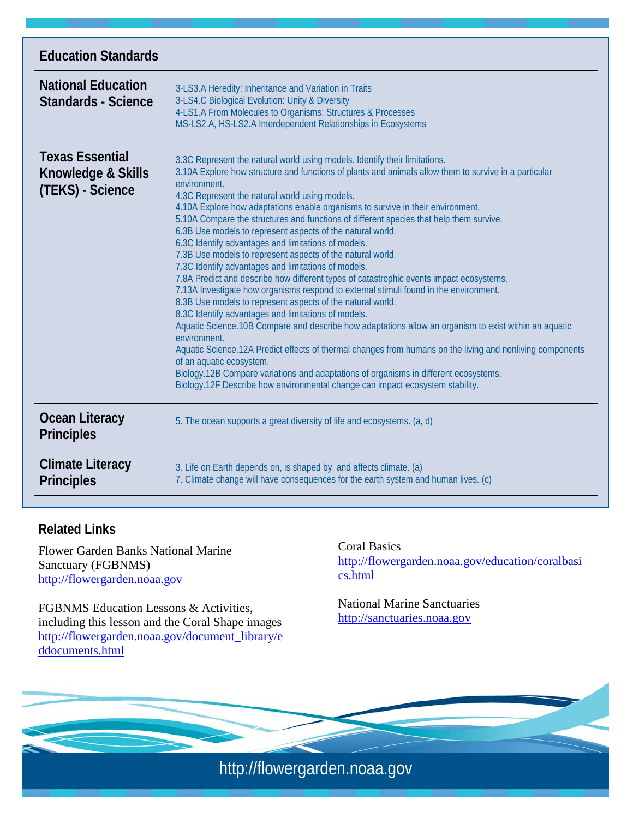| <b>Education Standards</b>                                       |                                                                                                                                                                                                                                                                                                                                                                                                                                                                                                                                                                                                                                                                                                                                                                                                                                                                                                                                                                                                                                                                                                                                                                                                                                                                                                                                                                                                                                   |
|------------------------------------------------------------------|-----------------------------------------------------------------------------------------------------------------------------------------------------------------------------------------------------------------------------------------------------------------------------------------------------------------------------------------------------------------------------------------------------------------------------------------------------------------------------------------------------------------------------------------------------------------------------------------------------------------------------------------------------------------------------------------------------------------------------------------------------------------------------------------------------------------------------------------------------------------------------------------------------------------------------------------------------------------------------------------------------------------------------------------------------------------------------------------------------------------------------------------------------------------------------------------------------------------------------------------------------------------------------------------------------------------------------------------------------------------------------------------------------------------------------------|
| <b>National Education</b><br><b>Standards - Science</b>          | 3-LS3.A Heredity: Inheritance and Variation in Traits<br>3-LS4.C Biological Evolution: Unity & Diversity<br>4-LS1.A From Molecules to Organisms: Structures & Processes<br>MS-LS2.A, HS-LS2.A Interdependent Relationships in Ecosystems                                                                                                                                                                                                                                                                                                                                                                                                                                                                                                                                                                                                                                                                                                                                                                                                                                                                                                                                                                                                                                                                                                                                                                                          |
| <b>Texas Essential</b><br>Knowledge & Skills<br>(TEKS) - Science | 3.3C Represent the natural world using models. Identify their limitations.<br>3.10A Explore how structure and functions of plants and animals allow them to survive in a particular<br>environment.<br>4.3C Represent the natural world using models.<br>4.10A Explore how adaptations enable organisms to survive in their environment.<br>5.10A Compare the structures and functions of different species that help them survive.<br>6.3B Use models to represent aspects of the natural world.<br>6.3C Identify advantages and limitations of models.<br>7.3B Use models to represent aspects of the natural world.<br>7.3C Identify advantages and limitations of models.<br>7.8A Predict and describe how different types of catastrophic events impact ecosystems.<br>7.13A Investigate how organisms respond to external stimuli found in the environment.<br>8.3B Use models to represent aspects of the natural world.<br>8.3C Identify advantages and limitations of models.<br>Aquatic Science.10B Compare and describe how adaptations allow an organism to exist within an aquatic<br>environment.<br>Aquatic Science.12A Predict effects of thermal changes from humans on the living and nonliving components<br>of an aquatic ecosystem.<br>Biology.12B Compare variations and adaptations of organisms in different ecosystems.<br>Biology.12F Describe how environmental change can impact ecosystem stability. |
| <b>Ocean Literacy</b><br><b>Principles</b>                       | 5. The ocean supports a great diversity of life and ecosystems. (a, d)                                                                                                                                                                                                                                                                                                                                                                                                                                                                                                                                                                                                                                                                                                                                                                                                                                                                                                                                                                                                                                                                                                                                                                                                                                                                                                                                                            |
| <b>Climate Literacy</b><br><b>Principles</b>                     | 3. Life on Earth depends on, is shaped by, and affects climate. (a)<br>7. Climate change will have consequences for the earth system and human lives. (c)                                                                                                                                                                                                                                                                                                                                                                                                                                                                                                                                                                                                                                                                                                                                                                                                                                                                                                                                                                                                                                                                                                                                                                                                                                                                         |

# **Related Links**

Flower Garden Banks National Marine Sanctuary (FGBNMS) [http://flowergarden.noaa.gov](http://flowergarden.noaa.gov/)

FGBNMS Education Lessons & Activities, including this lesson and the Coral Shape images [http://flowergarden.noaa.gov/document\\_library/e](http://flowergarden.noaa.gov/document_library/eddocuments.html) [ddocuments.html](http://flowergarden.noaa.gov/document_library/eddocuments.html)

Coral Basics [http://flowergarden.noaa.gov/education/coralbasi](http://flowergarden.noaa.gov/education/coralbasics.html) [cs.html](http://flowergarden.noaa.gov/education/coralbasics.html)

National Marine Sanctuaries [http://sanctuaries.noaa.gov](http://sanctuaries.noaa.gov/)